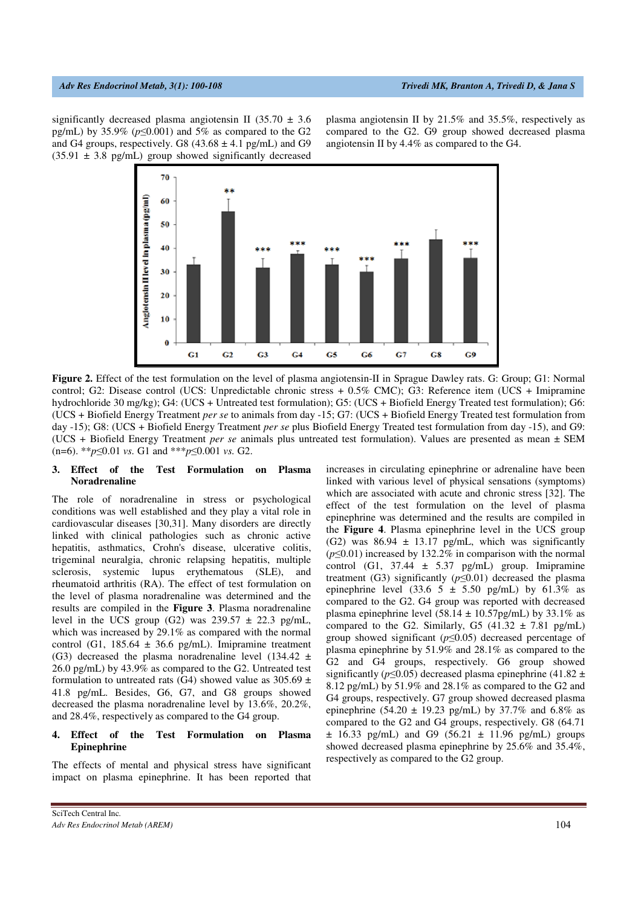significantly decreased plasma angiotensin II (35.70  $\pm$  3.6 pg/mL) by 35.9% (*p*≤0.001) and 5% as compared to the G2 and G4 groups, respectively. G8  $(43.68 \pm 4.1 \text{ pg/mL})$  and G9  $(35.91 \pm 3.8 \text{ pg/mL})$  group showed significantly decreased plasma angiotensin II by 21.5% and 35.5%, respectively as compared to the G2. G9 group showed decreased plasma angiotensin II by 4.4% as compared to the G4.



**Figure 2.** Effect of the test formulation on the level of plasma angiotensin-II in Sprague Dawley rats. G: Group; G1: Normal control; G2: Disease control (UCS: Unpredictable chronic stress + 0.5% CMC); G3: Reference item (UCS + Imipramine hydrochloride 30 mg/kg); G4: (UCS + Untreated test formulation); G5: (UCS + Biofield Energy Treated test formulation); G6: (UCS + Biofield Energy Treatment *per se* to animals from day -15; G7: (UCS + Biofield Energy Treated test formulation from day -15); G8: (UCS + Biofield Energy Treatment *per se* plus Biofield Energy Treated test formulation from day -15), and G9: (UCS + Biofield Energy Treatment *per se* animals plus untreated test formulation). Values are presented as mean ± SEM (n=6). \*\**p*≤0.01 *vs.* G1 and \*\*\**p*≤0.001 *vs.* G2.

# **3. Effect of the Test Formulation on Plasma Noradrenaline**

The role of noradrenaline in stress or psychological conditions was well established and they play a vital role in cardiovascular diseases [30,31]. Many disorders are directly linked with clinical pathologies such as chronic active hepatitis, asthmatics, Crohn's disease, ulcerative colitis, trigeminal neuralgia, chronic relapsing hepatitis, multiple sclerosis, systemic lupus erythematous (SLE), and rheumatoid arthritis (RA). The effect of test formulation on the level of plasma noradrenaline was determined and the results are compiled in the **Figure 3**. Plasma noradrenaline level in the UCS group (G2) was  $239.57 \pm 22.3$  pg/mL, which was increased by 29.1% as compared with the normal control (G1,  $185.64 \pm 36.6$  pg/mL). Imipramine treatment (G3) decreased the plasma noradrenaline level (134.42  $\pm$ 26.0 pg/mL) by 43.9% as compared to the G2. Untreated test formulation to untreated rats (G4) showed value as  $305.69 \pm$ 41.8 pg/mL. Besides, G6, G7, and G8 groups showed decreased the plasma noradrenaline level by 13.6%, 20.2%, and 28.4%, respectively as compared to the G4 group.

## **4. Effect of the Test Formulation on Plasma Epinephrine**

The effects of mental and physical stress have significant impact on plasma epinephrine. It has been reported that increases in circulating epinephrine or adrenaline have been linked with various level of physical sensations (symptoms) which are associated with acute and chronic stress [32]. The effect of the test formulation on the level of plasma epinephrine was determined and the results are compiled in the **Figure 4**. Plasma epinephrine level in the UCS group (G2) was  $86.94 \pm 13.17$  pg/mL, which was significantly (*p*≤0.01) increased by 132.2% in comparison with the normal control (G1,  $37.44 \pm 5.37$  pg/mL) group. Imipramine treatment (G3) significantly  $(p \le 0.01)$  decreased the plasma epinephrine level (33.6  $5 \pm 5.50$  pg/mL) by 61.3% as compared to the G2. G4 group was reported with decreased plasma epinephrine level (58.14  $\pm$  10.57pg/mL) by 33.1% as compared to the G2. Similarly, G5  $(41.32 \pm 7.81 \text{ pg/mL})$ group showed significant (*p*≤0.05) decreased percentage of plasma epinephrine by 51.9% and 28.1% as compared to the G2 and G4 groups, respectively. G6 group showed significantly (*p*≤0.05) decreased plasma epinephrine (41.82 ± 8.12 pg/mL) by 51.9% and 28.1% as compared to the G2 and G4 groups, respectively. G7 group showed decreased plasma epinephrine (54.20  $\pm$  19.23 pg/mL) by 37.7% and 6.8% as compared to the G2 and G4 groups, respectively. G8 (64.71  $\pm$  16.33 pg/mL) and G9 (56.21  $\pm$  11.96 pg/mL) groups showed decreased plasma epinephrine by 25.6% and 35.4%, respectively as compared to the G2 group.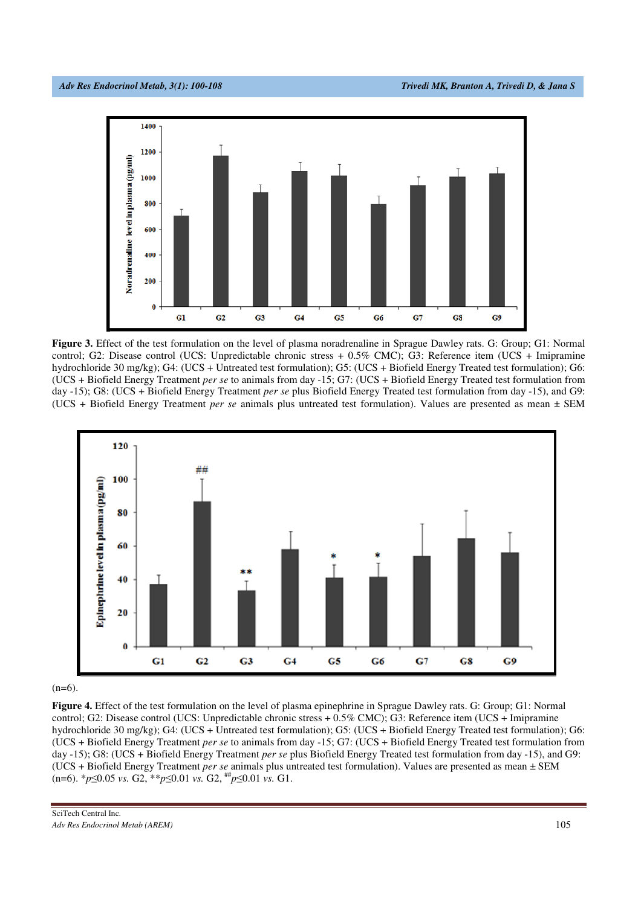

**Figure 3.** Effect of the test formulation on the level of plasma noradrenaline in Sprague Dawley rats. G: Group; G1: Normal control; G2: Disease control (UCS: Unpredictable chronic stress + 0.5% CMC); G3: Reference item (UCS + Imipramine hydrochloride 30 mg/kg); G4: (UCS + Untreated test formulation); G5: (UCS + Biofield Energy Treated test formulation); G6: (UCS + Biofield Energy Treatment *per se* to animals from day -15; G7: (UCS + Biofield Energy Treated test formulation from day -15); G8: (UCS + Biofield Energy Treatment *per se* plus Biofield Energy Treated test formulation from day -15), and G9: (UCS + Biofield Energy Treatment *per se* animals plus untreated test formulation). Values are presented as mean ± SEM



 $(n=6)$ .

**Figure 4.** Effect of the test formulation on the level of plasma epinephrine in Sprague Dawley rats. G: Group; G1: Normal control; G2: Disease control (UCS: Unpredictable chronic stress + 0.5% CMC); G3: Reference item (UCS + Imipramine hydrochloride 30 mg/kg); G4: (UCS + Untreated test formulation); G5: (UCS + Biofield Energy Treated test formulation); G6: (UCS + Biofield Energy Treatment *per se* to animals from day -15; G7: (UCS + Biofield Energy Treated test formulation from day -15); G8: (UCS + Biofield Energy Treatment *per se* plus Biofield Energy Treated test formulation from day -15), and G9: (UCS + Biofield Energy Treatment *per se* animals plus untreated test formulation). Values are presented as mean ± SEM (n=6). \**p*≤0.05 *vs.* G2, \*\**p*≤0.01 *vs.* G2, ## *p*≤0.01 *vs.* G1.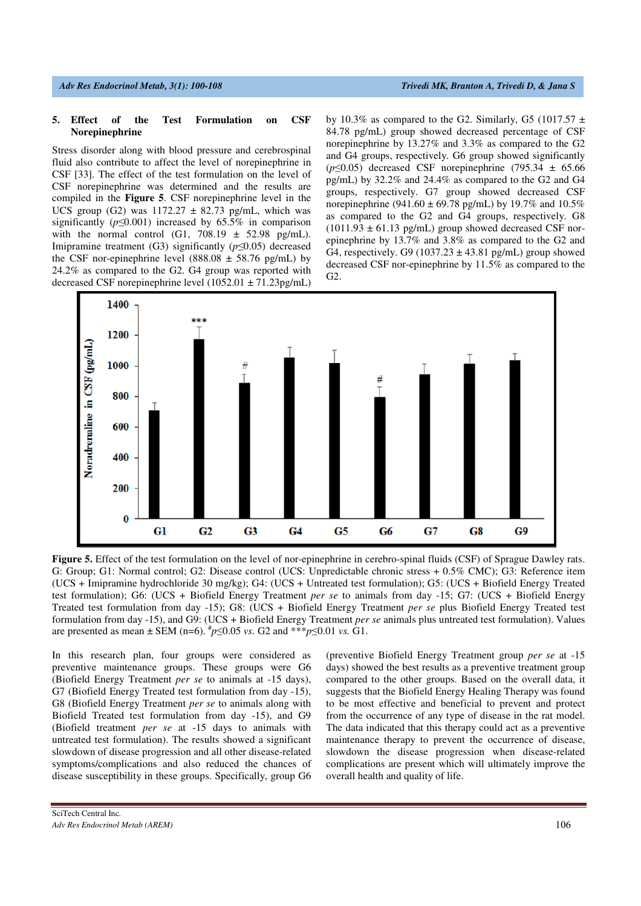### **5. Effect of the Test Formulation on CSF Norepinephrine**

Stress disorder along with blood pressure and cerebrospinal fluid also contribute to affect the level of norepinephrine in CSF [33]. The effect of the test formulation on the level of CSF norepinephrine was determined and the results are compiled in the **Figure 5**. CSF norepinephrine level in the UCS group (G2) was  $1172.27 \pm 82.73$  pg/mL, which was significantly ( $p \le 0.001$ ) increased by 65.5% in comparison with the normal control (G1,  $708.19 \pm 52.98$  pg/mL). Imipramine treatment (G3) significantly (*p*≤0.05) decreased the CSF nor-epinephrine level (888.08  $\pm$  58.76 pg/mL) by 24.2% as compared to the G2. G4 group was reported with decreased CSF norepinephrine level (1052.01 ± 71.23pg/mL)

by 10.3% as compared to the G2. Similarly, G5 (1017.57  $\pm$ 84.78 pg/mL) group showed decreased percentage of CSF norepinephrine by 13.27% and 3.3% as compared to the G2 and G4 groups, respectively. G6 group showed significantly  $(p \le 0.05)$  decreased CSF norepinephrine (795.34  $\pm$  65.66) pg/mL) by 32.2% and 24.4% as compared to the G2 and G4 groups, respectively. G7 group showed decreased CSF norepinephrine (941.60  $\pm$  69.78 pg/mL) by 19.7% and 10.5% as compared to the G2 and G4 groups, respectively. G8  $(1011.93 \pm 61.13 \text{ pg/mL})$  group showed decreased CSF norepinephrine by 13.7% and 3.8% as compared to the G2 and G4, respectively. G9 (1037.23  $\pm$  43.81 pg/mL) group showed decreased CSF nor-epinephrine by 11.5% as compared to the G2.



**Figure 5.** Effect of the test formulation on the level of nor-epinephrine in cerebro-spinal fluids (CSF) of Sprague Dawley rats. G: Group; G1: Normal control; G2: Disease control (UCS: Unpredictable chronic stress + 0.5% CMC); G3: Reference item (UCS + Imipramine hydrochloride 30 mg/kg); G4: (UCS + Untreated test formulation); G5: (UCS + Biofield Energy Treated test formulation); G6: (UCS + Biofield Energy Treatment *per se* to animals from day -15; G7: (UCS + Biofield Energy Treated test formulation from day -15); G8: (UCS + Biofield Energy Treatment *per se* plus Biofield Energy Treated test formulation from day -15), and G9: (UCS + Biofield Energy Treatment *per se* animals plus untreated test formulation). Values are presented as mean ± SEM (n=6).  $^{*}p \le 0.05$  *vs*. G2 and \*\*\**p*≤0.01 *vs*. G1.

In this research plan, four groups were considered as preventive maintenance groups. These groups were G6 (Biofield Energy Treatment *per se* to animals at -15 days), G7 (Biofield Energy Treated test formulation from day -15), G8 (Biofield Energy Treatment *per se* to animals along with Biofield Treated test formulation from day -15), and G9 (Biofield treatment *per se* at -15 days to animals with untreated test formulation). The results showed a significant slowdown of disease progression and all other disease-related symptoms/complications and also reduced the chances of disease susceptibility in these groups. Specifically, group G6 (preventive Biofield Energy Treatment group *per se* at -15 days) showed the best results as a preventive treatment group compared to the other groups. Based on the overall data, it suggests that the Biofield Energy Healing Therapy was found to be most effective and beneficial to prevent and protect from the occurrence of any type of disease in the rat model. The data indicated that this therapy could act as a preventive maintenance therapy to prevent the occurrence of disease, slowdown the disease progression when disease-related complications are present which will ultimately improve the overall health and quality of life.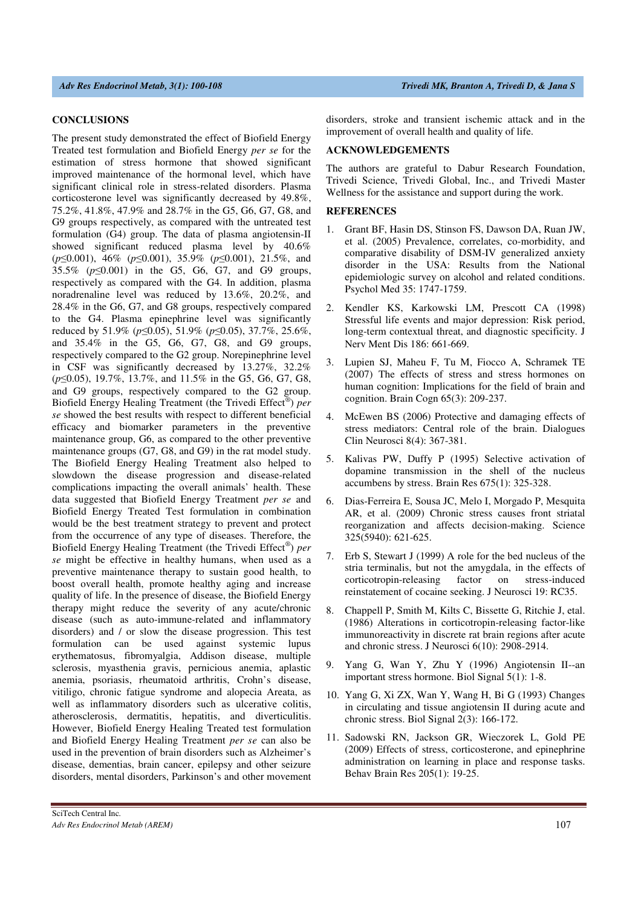### **CONCLUSIONS**

The present study demonstrated the effect of Biofield Energy Treated test formulation and Biofield Energy *per se* for the estimation of stress hormone that showed significant improved maintenance of the hormonal level, which have significant clinical role in stress-related disorders. Plasma corticosterone level was significantly decreased by 49.8%, 75.2%, 41.8%, 47.9% and 28.7% in the G5, G6, G7, G8, and G9 groups respectively, as compared with the untreated test formulation (G4) group. The data of plasma angiotensin-II showed significant reduced plasma level by 40.6% (*p*≤0.001), 46% (*p*≤0.001), 35.9% (*p*≤0.001), 21.5%, and 35.5% (*p*≤0.001) in the G5, G6, G7, and G9 groups, respectively as compared with the G4. In addition, plasma noradrenaline level was reduced by 13.6%, 20.2%, and 28.4% in the G6, G7, and G8 groups, respectively compared to the G4. Plasma epinephrine level was significantly reduced by 51.9% (*p*≤0.05), 51.9% (*p*≤0.05), 37.7%, 25.6%, and 35.4% in the G5, G6, G7, G8, and G9 groups, respectively compared to the G2 group. Norepinephrine level in CSF was significantly decreased by 13.27%, 32.2% (*p*≤0.05), 19.7%, 13.7%, and 11.5% in the G5, G6, G7, G8, and G9 groups, respectively compared to the G2 group. Biofield Energy Healing Treatment (the Trivedi Effect® ) *per se* showed the best results with respect to different beneficial efficacy and biomarker parameters in the preventive maintenance group, G6, as compared to the other preventive maintenance groups (G7, G8, and G9) in the rat model study. The Biofield Energy Healing Treatment also helped to slowdown the disease progression and disease-related complications impacting the overall animals' health. These data suggested that Biofield Energy Treatment *per se* and Biofield Energy Treated Test formulation in combination would be the best treatment strategy to prevent and protect from the occurrence of any type of diseases. Therefore, the Biofield Energy Healing Treatment (the Trivedi Effect® ) *per se* might be effective in healthy humans, when used as a preventive maintenance therapy to sustain good health, to boost overall health, promote healthy aging and increase quality of life. In the presence of disease, the Biofield Energy therapy might reduce the severity of any acute/chronic disease (such as auto-immune-related and inflammatory disorders) and / or slow the disease progression. This test formulation can be used against systemic lupus erythematosus, fibromyalgia, Addison disease, multiple sclerosis, myasthenia gravis, pernicious anemia, aplastic anemia, psoriasis, rheumatoid arthritis, Crohn's disease, vitiligo, chronic fatigue syndrome and alopecia Areata, as well as inflammatory disorders such as ulcerative colitis, atherosclerosis, dermatitis, hepatitis, and diverticulitis. However, Biofield Energy Healing Treated test formulation and Biofield Energy Healing Treatment *per se* can also be used in the prevention of brain disorders such as Alzheimer's disease, dementias, brain cancer, epilepsy and other seizure disorders, mental disorders, Parkinson's and other movement

SciTech Central Inc*.* 

disorders, stroke and transient ischemic attack and in the improvement of overall health and quality of life.

## **ACKNOWLEDGEMENTS**

The authors are grateful to Dabur Research Foundation, Trivedi Science, Trivedi Global, Inc., and Trivedi Master Wellness for the assistance and support during the work.

## **REFERENCES**

- 1. Grant BF, Hasin DS, Stinson FS, Dawson DA, Ruan JW, et al. (2005) Prevalence, correlates, co-morbidity, and comparative disability of DSM-IV generalized anxiety disorder in the USA: Results from the National epidemiologic survey on alcohol and related conditions. Psychol Med 35: 1747-1759.
- 2. Kendler KS, Karkowski LM, Prescott CA (1998) Stressful life events and major depression: Risk period, long-term contextual threat, and diagnostic specificity. J Nerv Ment Dis 186: 661-669.
- 3. Lupien SJ, Maheu F, Tu M, Fiocco A, Schramek TE (2007) The effects of stress and stress hormones on human cognition: Implications for the field of brain and cognition. Brain Cogn 65(3): 209-237.
- 4. McEwen BS (2006) Protective and damaging effects of stress mediators: Central role of the brain. Dialogues Clin Neurosci 8(4): 367-381.
- 5. Kalivas PW, Duffy P (1995) Selective activation of dopamine transmission in the shell of the nucleus accumbens by stress. Brain Res 675(1): 325-328.
- 6. Dias-Ferreira E, Sousa JC, Melo I, Morgado P, Mesquita AR, et al. (2009) Chronic stress causes front striatal reorganization and affects decision-making. Science 325(5940): 621-625.
- 7. Erb S, Stewart J (1999) A role for the bed nucleus of the stria terminalis, but not the amygdala, in the effects of corticotropin-releasing factor on stress-induced reinstatement of cocaine seeking. J Neurosci 19: RC35.
- 8. Chappell P, Smith M, Kilts C, Bissette G, Ritchie J, etal. (1986) Alterations in corticotropin-releasing factor-like immunoreactivity in discrete rat brain regions after acute and chronic stress. J Neurosci 6(10): 2908-2914.
- 9. Yang G, Wan Y, Zhu Y (1996) Angiotensin II--an important stress hormone. Biol Signal 5(1): 1-8.
- 10. Yang G, Xi ZX, Wan Y, Wang H, Bi G (1993) Changes in circulating and tissue angiotensin II during acute and chronic stress. Biol Signal 2(3): 166-172.
- 11. Sadowski RN, Jackson GR, Wieczorek L, Gold PE (2009) Effects of stress, corticosterone, and epinephrine administration on learning in place and response tasks. Behav Brain Res 205(1): 19-25.